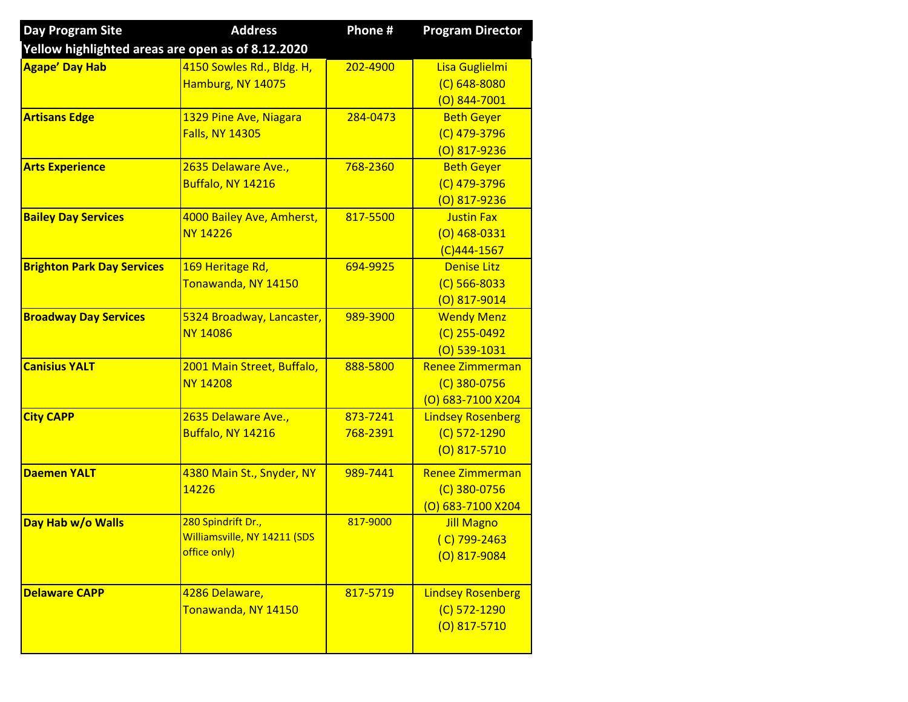| <b>Day Program Site</b>                           | <b>Address</b>               | Phone #  | <b>Program Director</b>  |
|---------------------------------------------------|------------------------------|----------|--------------------------|
| Yellow highlighted areas are open as of 8.12.2020 |                              |          |                          |
| <b>Agape' Day Hab</b>                             | 4150 Sowles Rd., Bldg. H,    | 202-4900 | Lisa Guglielmi           |
|                                                   | Hamburg, NY 14075            |          | $(C)$ 648-8080           |
|                                                   |                              |          | $(0)$ 844-7001           |
| <b>Artisans Edge</b>                              | 1329 Pine Ave, Niagara       | 284-0473 | <b>Beth Geyer</b>        |
|                                                   | <b>Falls, NY 14305</b>       |          | $(C)$ 479-3796           |
|                                                   |                              |          | $(0)$ 817-9236           |
| <b>Arts Experience</b>                            | 2635 Delaware Ave.,          | 768-2360 | <b>Beth Geyer</b>        |
|                                                   | Buffalo, NY 14216            |          | $(C)$ 479-3796           |
|                                                   |                              |          | $(O)$ 817-9236           |
| <b>Bailey Day Services</b>                        | 4000 Bailey Ave, Amherst,    | 817-5500 | <b>Justin Fax</b>        |
|                                                   | <b>NY 14226</b>              |          | $(0)$ 468-0331           |
|                                                   |                              |          | $(C)$ 444-1567           |
| <b>Brighton Park Day Services</b>                 | 169 Heritage Rd,             | 694-9925 | <b>Denise Litz</b>       |
|                                                   | Tonawanda, NY 14150          |          | $(C)$ 566-8033           |
|                                                   |                              |          | $(0)$ 817-9014           |
| <b>Broadway Day Services</b>                      | 5324 Broadway, Lancaster,    | 989-3900 | <b>Wendy Menz</b>        |
|                                                   | <b>NY 14086</b>              |          | $(C)$ 255-0492           |
|                                                   |                              |          | $(0)$ 539-1031           |
| <b>Canisius YALT</b>                              | 2001 Main Street, Buffalo,   | 888-5800 | <b>Renee Zimmerman</b>   |
|                                                   | <b>NY 14208</b>              |          | $(C)$ 380-0756           |
|                                                   |                              |          | (O) 683-7100 X204        |
| <b>City CAPP</b>                                  | 2635 Delaware Ave.,          | 873-7241 | <b>Lindsey Rosenberg</b> |
|                                                   | Buffalo, NY 14216            | 768-2391 | (C) 572-1290             |
|                                                   |                              |          | $(0)$ 817-5710           |
| <b>Daemen YALT</b>                                | 4380 Main St., Snyder, NY    | 989-7441 | <b>Renee Zimmerman</b>   |
|                                                   | 14226                        |          | $(C)$ 380-0756           |
|                                                   |                              |          | (O) 683-7100 X204        |
| Day Hab w/o Walls                                 | 280 Spindrift Dr.,           | 817-9000 | <b>Jill Magno</b>        |
|                                                   | Williamsville, NY 14211 (SDS |          | $(C)$ 799-2463           |
|                                                   | office only)                 |          | $(0)$ 817-9084           |
|                                                   |                              |          |                          |
| <b>Delaware CAPP</b>                              | 4286 Delaware,               | 817-5719 | <b>Lindsey Rosenberg</b> |
|                                                   | Tonawanda, NY 14150          |          | $(C) 572 - 1290$         |
|                                                   |                              |          | $(0)$ 817-5710           |
|                                                   |                              |          |                          |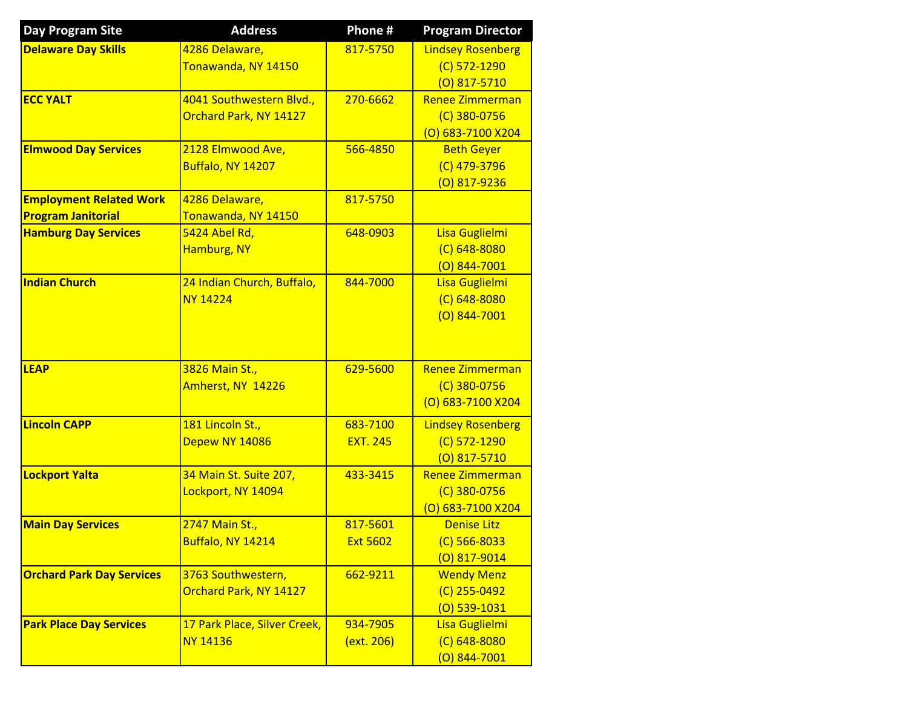| <b>Day Program Site</b>          | <b>Address</b>               | Phone #         | <b>Program Director</b>             |
|----------------------------------|------------------------------|-----------------|-------------------------------------|
| <b>Delaware Day Skills</b>       | 4286 Delaware,               | 817-5750        | <b>Lindsey Rosenberg</b>            |
|                                  | Tonawanda, NY 14150          |                 | $(C)$ 572-1290                      |
|                                  |                              |                 | $(0)$ 817-5710                      |
| <b>ECC YALT</b>                  | 4041 Southwestern Blvd.,     | 270-6662        | Renee Zimmerman                     |
|                                  | Orchard Park, NY 14127       |                 | $(C)$ 380-0756                      |
|                                  |                              |                 | (O) 683-7100 X204                   |
| <b>Elmwood Day Services</b>      | 2128 Elmwood Ave,            | 566-4850        | <b>Beth Geyer</b>                   |
|                                  | Buffalo, NY 14207            |                 | (C) 479-3796                        |
|                                  |                              |                 | $(0)$ 817-9236                      |
| <b>Employment Related Work</b>   | 4286 Delaware,               | 817-5750        |                                     |
| <b>Program Janitorial</b>        | Tonawanda, NY 14150          |                 |                                     |
| <b>Hamburg Day Services</b>      | 5424 Abel Rd,                | 648-0903        | Lisa Guglielmi                      |
|                                  | Hamburg, NY                  |                 | $(C)$ 648-8080                      |
|                                  |                              |                 | $(0)$ 844-7001                      |
| <b>Indian Church</b>             | 24 Indian Church, Buffalo,   | 844-7000        | Lisa Guglielmi                      |
|                                  | <b>NY 14224</b>              |                 | $(C)$ 648-8080                      |
|                                  |                              |                 | $(O)$ 844-7001                      |
|                                  |                              |                 |                                     |
| <b>LEAP</b>                      | 3826 Main St.,               | 629-5600        | <b>Renee Zimmerman</b>              |
|                                  | Amherst, NY 14226            |                 | $(C)$ 380-0756                      |
|                                  |                              |                 | (0) 683-7100 X204                   |
|                                  |                              |                 |                                     |
| <b>Lincoln CAPP</b>              | 181 Lincoln St.,             | 683-7100        | <b>Lindsey Rosenberg</b>            |
|                                  | Depew NY 14086               | <b>EXT. 245</b> | $(C)$ 572-1290                      |
|                                  |                              |                 | $(0)$ 817-5710                      |
| <b>Lockport Yalta</b>            | 34 Main St. Suite 207,       | 433-3415        | <b>Renee Zimmerman</b>              |
|                                  | Lockport, NY 14094           |                 | $(C)$ 380-0756<br>(O) 683-7100 X204 |
| <b>Main Day Services</b>         | 2747 Main St.,               | 817-5601        | <b>Denise Litz</b>                  |
|                                  | Buffalo, NY 14214            | <b>Ext 5602</b> | $(C)$ 566-8033                      |
|                                  |                              |                 | (O) 817-9014                        |
| <b>Orchard Park Day Services</b> | 3763 Southwestern,           | 662-9211        | <b>Wendy Menz</b>                   |
|                                  | Orchard Park, NY 14127       |                 | $(C)$ 255-0492                      |
|                                  |                              |                 | $(0)$ 539-1031                      |
| <b>Park Place Day Services</b>   | 17 Park Place, Silver Creek, | 934-7905        | Lisa Guglielmi                      |
|                                  | <b>NY 14136</b>              | (ext. 206)      | $(C) 648 - 8080$                    |
|                                  |                              |                 | $(0)$ 844-7001                      |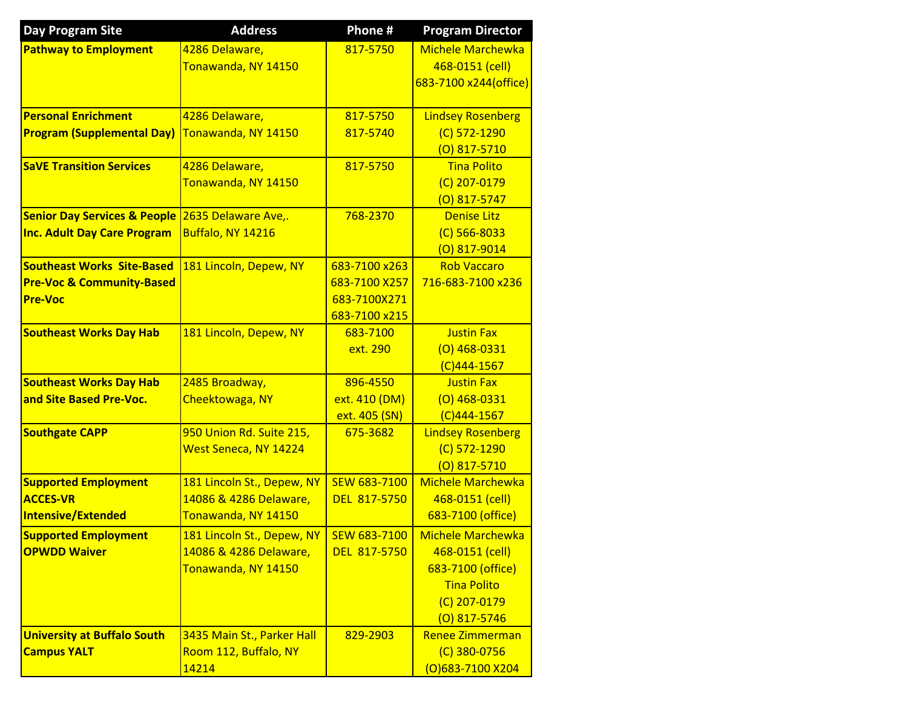| <b>Day Program Site</b>                 | <b>Address</b>             | Phone #             | <b>Program Director</b>  |
|-----------------------------------------|----------------------------|---------------------|--------------------------|
| <b>Pathway to Employment</b>            | 4286 Delaware,             | 817-5750            | <b>Michele Marchewka</b> |
|                                         | Tonawanda, NY 14150        |                     | 468-0151 (cell)          |
|                                         |                            |                     | 683-7100 x244(office)    |
|                                         |                            |                     |                          |
| <b>Personal Enrichment</b>              | 4286 Delaware,             | 817-5750            | <b>Lindsey Rosenberg</b> |
| <b>Program (Supplemental Day)</b>       | Tonawanda, NY 14150        | 817-5740            | $(C)$ 572-1290           |
|                                         |                            |                     | $(0)$ 817-5710           |
| <b>SaVE Transition Services</b>         | 4286 Delaware,             | 817-5750            | <b>Tina Polito</b>       |
|                                         | Tonawanda, NY 14150        |                     | $(C)$ 207-0179           |
|                                         |                            |                     | $(0)$ 817-5747           |
| <b>Senior Day Services &amp; People</b> | 2635 Delaware Ave,.        | 768-2370            | Denise Litz              |
| <b>Inc. Adult Day Care Program</b>      | Buffalo, NY 14216          |                     | $(C)$ 566-8033           |
|                                         |                            |                     | $(0)$ 817-9014           |
| <b>Southeast Works Site-Based</b>       | 181 Lincoln, Depew, NY     | 683-7100 x263       | <b>Rob Vaccaro</b>       |
| <b>Pre-Voc &amp; Community-Based</b>    |                            | 683-7100 X257       | 716-683-7100 x236        |
| <b>Pre-Voc</b>                          |                            | 683-7100X271        |                          |
|                                         |                            | 683-7100 x215       |                          |
| <b>Southeast Works Day Hab</b>          | 181 Lincoln, Depew, NY     | 683-7100            | <b>Justin Fax</b>        |
|                                         |                            | ext. 290            | $(O)$ 468-0331           |
|                                         |                            |                     | $(C)$ 444-1567           |
| <b>Southeast Works Day Hab</b>          | 2485 Broadway,             | 896-4550            | <b>Justin Fax</b>        |
| and Site Based Pre-Voc.                 | Cheektowaga, NY            | ext. 410 (DM)       | $(0)$ 468-0331           |
|                                         |                            | ext. 405 (SN)       | $(C)$ 444-1567           |
| <b>Southgate CAPP</b>                   | 950 Union Rd. Suite 215,   | 675-3682            | <b>Lindsey Rosenberg</b> |
|                                         | West Seneca, NY 14224      |                     | (C) 572-1290             |
|                                         |                            |                     | $(0)$ 817-5710           |
| <b>Supported Employment</b>             | 181 Lincoln St., Depew, NY | SEW 683-7100        | <b>Michele Marchewka</b> |
| <b>ACCES-VR</b>                         | 14086 & 4286 Delaware,     | DEL 817-5750        | 468-0151 (cell)          |
| Intensive/Extended                      | Tonawanda, NY 14150        |                     | 683-7100 (office)        |
| <b>Supported Employment</b>             | 181 Lincoln St., Depew, NY | SEW 683-7100        | Michele Marchewka        |
| <b>OPWDD Waiver</b>                     | 14086 & 4286 Delaware,     | <b>DEL 817-5750</b> | 468-0151 (cell)          |
|                                         | Tonawanda, NY 14150        |                     | 683-7100 (office)        |
|                                         |                            |                     | <b>Tina Polito</b>       |
|                                         |                            |                     | $(C)$ 207-0179           |
|                                         |                            |                     | $(0)$ 817-5746           |
| <b>University at Buffalo South</b>      | 3435 Main St., Parker Hall | 829-2903            | <b>Renee Zimmerman</b>   |
| <b>Campus YALT</b>                      | Room 112, Buffalo, NY      |                     | $(C)$ 380-0756           |
|                                         | 14214                      |                     | (O)683-7100 X204         |